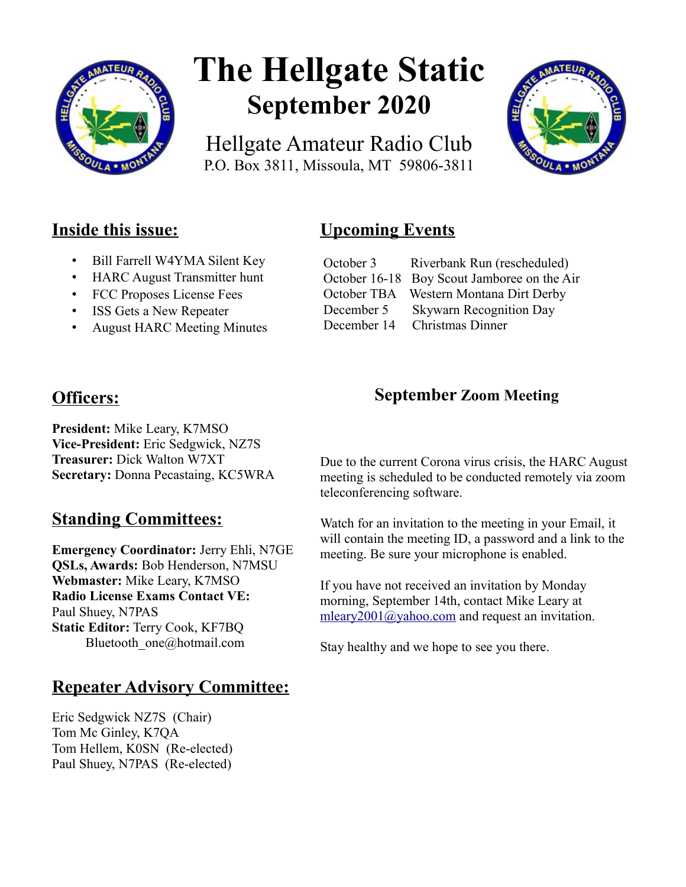

# **The Hellgate Static September 2020**

Hellgate Amateur Radio Club P.O. Box 3811, Missoula, MT 59806-3811



## **Inside this issue:**

- Bill Farrell W4YMA Silent Key
- HARC August Transmitter hunt
- FCC Proposes License Fees
- ISS Gets a New Repeater
- August HARC Meeting Minutes

# **Officers:**

**President:** Mike Leary, K7MSO **Vice-President:** Eric Sedgwick, NZ7S **Treasurer:** Dick Walton W7XT **Secretary:** Donna Pecastaing, KC5WRA

## **Standing Committees:**

**Emergency Coordinator:** Jerry Ehli, N7GE **QSLs, Awards:** Bob Henderson, N7MSU **Webmaster:** Mike Leary, K7MSO **Radio License Exams Contact VE:** Paul Shuey, N7PAS **Static Editor:** Terry Cook, KF7BQ Bluetooth\_one@hotmail.com

## **Repeater Advisory Committee:**

Eric Sedgwick NZ7S (Chair) Tom Mc Ginley, K7QA Tom Hellem, K0SN (Re-elected) Paul Shuey, N7PAS (Re-elected)

# **Upcoming Events**

| October 3   | Riverbank Run (rescheduled)                 |
|-------------|---------------------------------------------|
|             | October 16-18 Boy Scout Jamboree on the Air |
|             | October TBA Western Montana Dirt Derby      |
| December 5  | <b>Skywarn Recognition Day</b>              |
| December 14 | <b>Christmas Dinner</b>                     |

## **September Zoom Meeting**

Due to the current Corona virus crisis, the HARC August meeting is scheduled to be conducted remotely via zoom teleconferencing software.

Watch for an invitation to the meeting in your Email, it will contain the meeting ID, a password and a link to the meeting. Be sure your microphone is enabled.

If you have not received an invitation by Monday morning, September 14th, contact Mike Leary at [mleary2001@yahoo.com](mailto:mleary2001@yahoo.com) and request an invitation.

Stay healthy and we hope to see you there.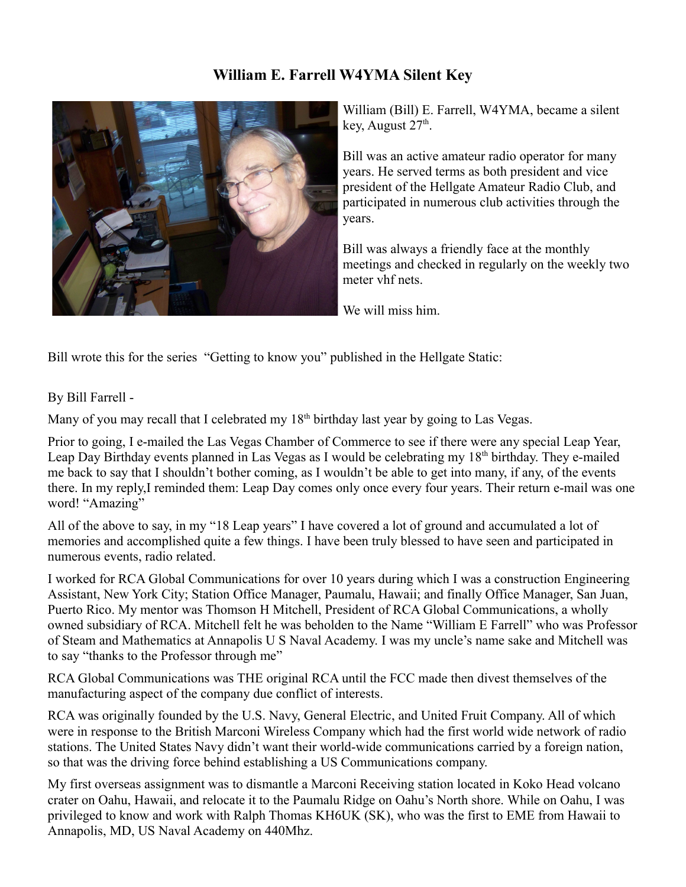#### **William E. Farrell W4YMA Silent Key**



William (Bill) E. Farrell, W4YMA, became a silent key, August 27<sup>th</sup>.

Bill was an active amateur radio operator for many years. He served terms as both president and vice president of the Hellgate Amateur Radio Club, and participated in numerous club activities through the years.

Bill was always a friendly face at the monthly meetings and checked in regularly on the weekly two meter vhf nets.

We will miss him.

Bill wrote this for the series "Getting to know you" published in the Hellgate Static:

By Bill Farrell -

Many of you may recall that I celebrated my  $18<sup>th</sup>$  birthday last year by going to Las Vegas.

Prior to going, I e-mailed the Las Vegas Chamber of Commerce to see if there were any special Leap Year, Leap Day Birthday events planned in Las Vegas as I would be celebrating my 18<sup>th</sup> birthday. They e-mailed me back to say that I shouldn't bother coming, as I wouldn't be able to get into many, if any, of the events there. In my reply,I reminded them: Leap Day comes only once every four years. Their return e-mail was one word! "Amazing"

All of the above to say, in my "18 Leap years" I have covered a lot of ground and accumulated a lot of memories and accomplished quite a few things. I have been truly blessed to have seen and participated in numerous events, radio related.

I worked for RCA Global Communications for over 10 years during which I was a construction Engineering Assistant, New York City; Station Office Manager, Paumalu, Hawaii; and finally Office Manager, San Juan, Puerto Rico. My mentor was Thomson H Mitchell, President of RCA Global Communications, a wholly owned subsidiary of RCA. Mitchell felt he was beholden to the Name "William E Farrell" who was Professor of Steam and Mathematics at Annapolis U S Naval Academy. I was my uncle's name sake and Mitchell was to say "thanks to the Professor through me"

RCA Global Communications was THE original RCA until the FCC made then divest themselves of the manufacturing aspect of the company due conflict of interests.

RCA was originally founded by the U.S. Navy, General Electric, and United Fruit Company. All of which were in response to the British Marconi Wireless Company which had the first world wide network of radio stations. The United States Navy didn't want their world-wide communications carried by a foreign nation, so that was the driving force behind establishing a US Communications company.

My first overseas assignment was to dismantle a Marconi Receiving station located in Koko Head volcano crater on Oahu, Hawaii, and relocate it to the Paumalu Ridge on Oahu's North shore. While on Oahu, I was privileged to know and work with Ralph Thomas KH6UK (SK), who was the first to EME from Hawaii to Annapolis, MD, US Naval Academy on 440Mhz.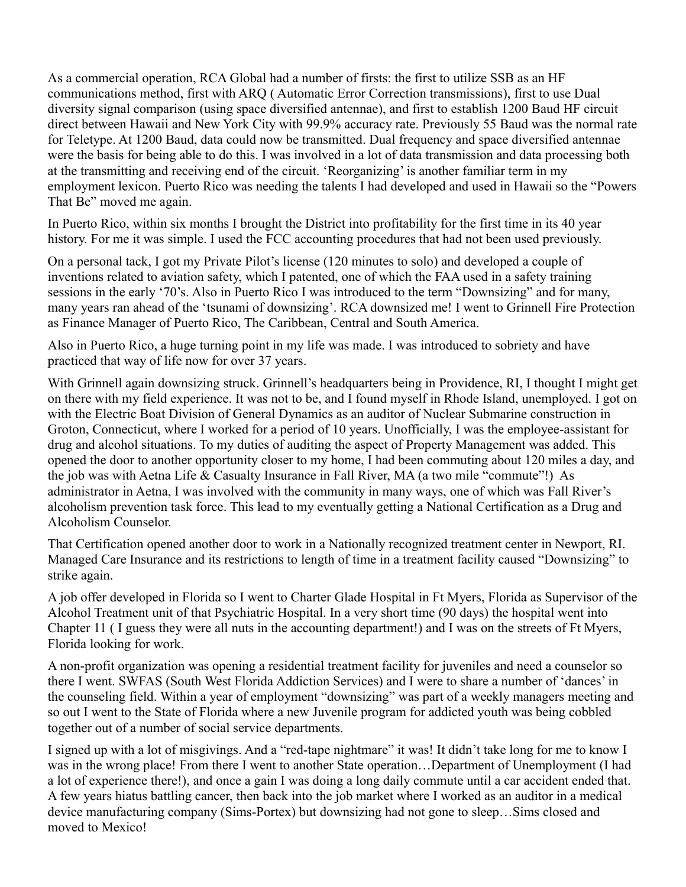As a commercial operation, RCA Global had a number of firsts: the first to utilize SSB as an HF communications method, first with ARQ ( Automatic Error Correction transmissions), first to use Dual diversity signal comparison (using space diversified antennae), and first to establish 1200 Baud HF circuit direct between Hawaii and New York City with 99.9% accuracy rate. Previously 55 Baud was the normal rate for Teletype. At 1200 Baud, data could now be transmitted. Dual frequency and space diversified antennae were the basis for being able to do this. I was involved in a lot of data transmission and data processing both at the transmitting and receiving end of the circuit. 'Reorganizing' is another familiar term in my employment lexicon. Puerto Rico was needing the talents I had developed and used in Hawaii so the "Powers That Be" moved me again.

In Puerto Rico, within six months I brought the District into profitability for the first time in its 40 year history. For me it was simple. I used the FCC accounting procedures that had not been used previously.

On a personal tack, I got my Private Pilot's license (120 minutes to solo) and developed a couple of inventions related to aviation safety, which I patented, one of which the FAA used in a safety training sessions in the early '70's. Also in Puerto Rico I was introduced to the term "Downsizing" and for many, many years ran ahead of the 'tsunami of downsizing'. RCA downsized me! I went to Grinnell Fire Protection as Finance Manager of Puerto Rico, The Caribbean, Central and South America.

Also in Puerto Rico, a huge turning point in my life was made. I was introduced to sobriety and have practiced that way of life now for over 37 years.

With Grinnell again downsizing struck. Grinnell's headquarters being in Providence, RI, I thought I might get on there with my field experience. It was not to be, and I found myself in Rhode Island, unemployed. I got on with the Electric Boat Division of General Dynamics as an auditor of Nuclear Submarine construction in Groton, Connecticut, where I worked for a period of 10 years. Unofficially, I was the employee-assistant for drug and alcohol situations. To my duties of auditing the aspect of Property Management was added. This opened the door to another opportunity closer to my home, I had been commuting about 120 miles a day, and the job was with Aetna Life & Casualty Insurance in Fall River, MA (a two mile "commute"!) As administrator in Aetna, I was involved with the community in many ways, one of which was Fall River's alcoholism prevention task force. This lead to my eventually getting a National Certification as a Drug and Alcoholism Counselor.

That Certification opened another door to work in a Nationally recognized treatment center in Newport, RI. Managed Care Insurance and its restrictions to length of time in a treatment facility caused "Downsizing" to strike again.

A job offer developed in Florida so I went to Charter Glade Hospital in Ft Myers, Florida as Supervisor of the Alcohol Treatment unit of that Psychiatric Hospital. In a very short time (90 days) the hospital went into Chapter 11 ( I guess they were all nuts in the accounting department!) and I was on the streets of Ft Myers, Florida looking for work.

A non-profit organization was opening a residential treatment facility for juveniles and need a counselor so there I went. SWFAS (South West Florida Addiction Services) and I were to share a number of 'dances' in the counseling field. Within a year of employment "downsizing" was part of a weekly managers meeting and so out I went to the State of Florida where a new Juvenile program for addicted youth was being cobbled together out of a number of social service departments.

I signed up with a lot of misgivings. And a "red-tape nightmare" it was! It didn't take long for me to know I was in the wrong place! From there I went to another State operation…Department of Unemployment (I had a lot of experience there!), and once a gain I was doing a long daily commute until a car accident ended that. A few years hiatus battling cancer, then back into the job market where I worked as an auditor in a medical device manufacturing company (Sims-Portex) but downsizing had not gone to sleep…Sims closed and moved to Mexico!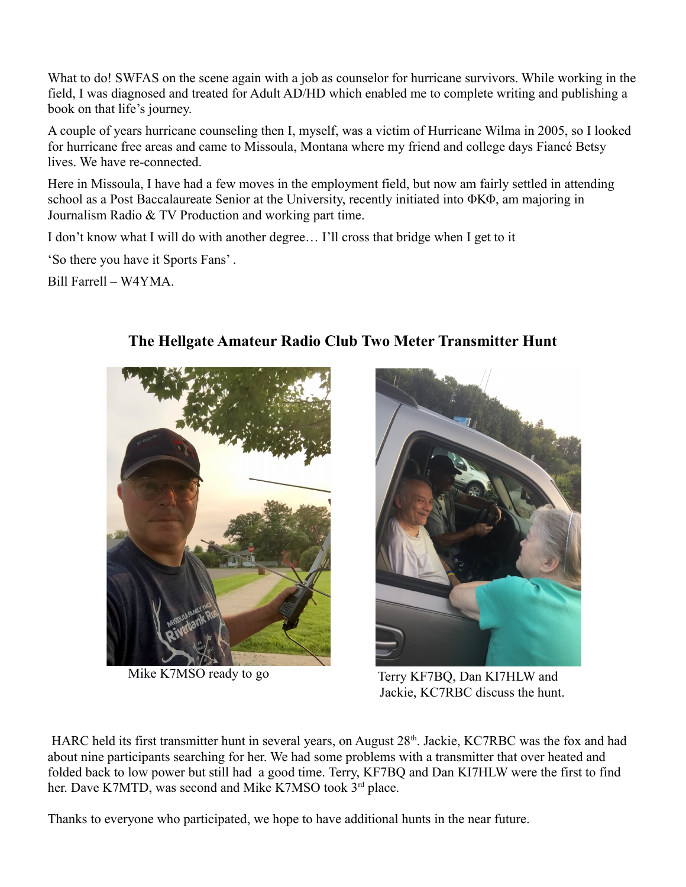What to do! SWFAS on the scene again with a job as counselor for hurricane survivors. While working in the field, I was diagnosed and treated for Adult AD/HD which enabled me to complete writing and publishing a book on that life's journey.

A couple of years hurricane counseling then I, myself, was a victim of Hurricane Wilma in 2005, so I looked for hurricane free areas and came to Missoula, Montana where my friend and college days Fiancé Betsy lives. We have re-connected.

Here in Missoula, I have had a few moves in the employment field, but now am fairly settled in attending school as a Post Baccalaureate Senior at the University, recently initiated into ΦΚΦ, am majoring in Journalism Radio & TV Production and working part time.

I don't know what I will do with another degree… I'll cross that bridge when I get to it

'So there you have it Sports Fans' .

Bill Farrell – W4YMA.





Mike K7MSO ready to go Terry KF7BQ, Dan KI7HLW and Jackie, KC7RBC discuss the hunt.

HARC held its first transmitter hunt in several years, on August 28<sup>th</sup>. Jackie, KC7RBC was the fox and had about nine participants searching for her. We had some problems with a transmitter that over heated and folded back to low power but still had a good time. Terry, KF7BQ and Dan KI7HLW were the first to find her. Dave K7MTD, was second and Mike K7MSO took 3<sup>rd</sup> place.

Thanks to everyone who participated, we hope to have additional hunts in the near future.

## **The Hellgate Amateur Radio Club Two Meter Transmitter Hunt**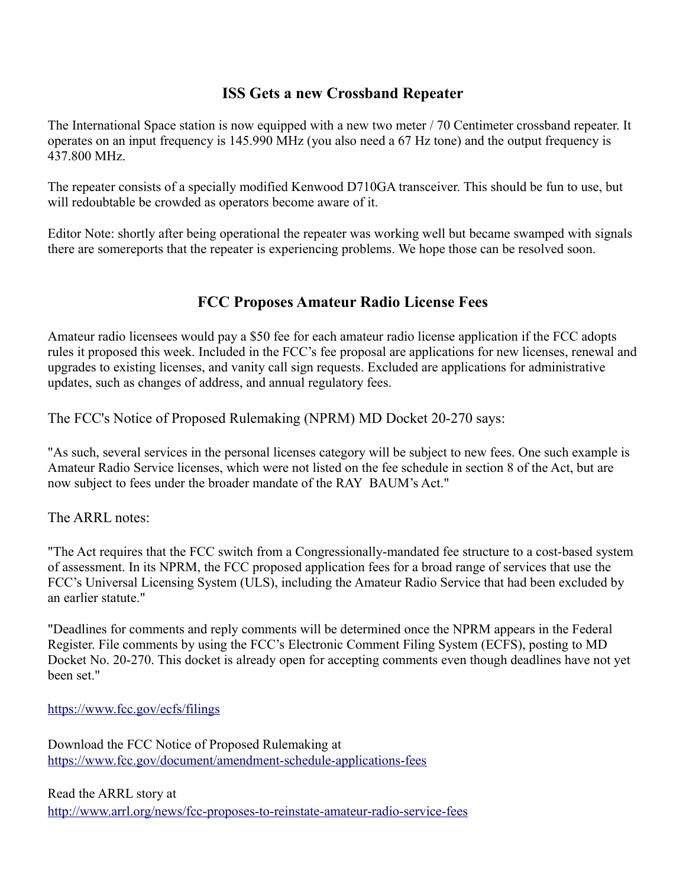#### **ISS Gets a new Crossband Repeater**

The International Space station is now equipped with a new two meter / 70 Centimeter crossband repeater. It operates on an input frequency is 145.990 MHz (you also need a 67 Hz tone) and the output frequency is 437.800 MHz.

The repeater consists of a specially modified Kenwood D710GA transceiver. This should be fun to use, but will redoubtable be crowded as operators become aware of it.

Editor Note: shortly after being operational the repeater was working well but became swamped with signals there are somereports that the repeater is experiencing problems. We hope those can be resolved soon.

#### **FCC Proposes Amateur Radio License Fees**

Amateur radio licensees would pay a \$50 fee for each amateur radio license application if the FCC adopts rules it proposed this week. Included in the FCC's fee proposal are applications for new licenses, renewal and upgrades to existing licenses, and vanity call sign requests. Excluded are applications for administrative updates, such as changes of address, and annual regulatory fees.

The FCC's Notice of Proposed Rulemaking (NPRM) MD Docket 20-270 says:

"As such, several services in the personal licenses category will be subject to new fees. One such example is Amateur Radio Service licenses, which were not listed on the fee schedule in section 8 of the Act, but are now subject to fees under the broader mandate of the RAY BAUM's Act."

The ARRL notes:

"The Act requires that the FCC switch from a Congressionally-mandated fee structure to a cost-based system of assessment. In its NPRM, the FCC proposed application fees for a broad range of services that use the FCC's Universal Licensing System (ULS), including the Amateur Radio Service that had been excluded by an earlier statute."

"Deadlines for comments and reply comments will be determined once the NPRM appears in the Federal Register. File comments by using the FCC's Electronic Comment Filing System (ECFS), posting to MD Docket No. 20-270. This docket is already open for accepting comments even though deadlines have not yet been set."

<https://www.fcc.gov/ecfs/filings>

Download the FCC Notice of Proposed Rulemaking at <https://www.fcc.gov/document/amendment-schedule-applications-fees>

Read the ARRL story at

<http://www.arrl.org/news/fcc-proposes-to-reinstate-amateur-radio-service-fees>